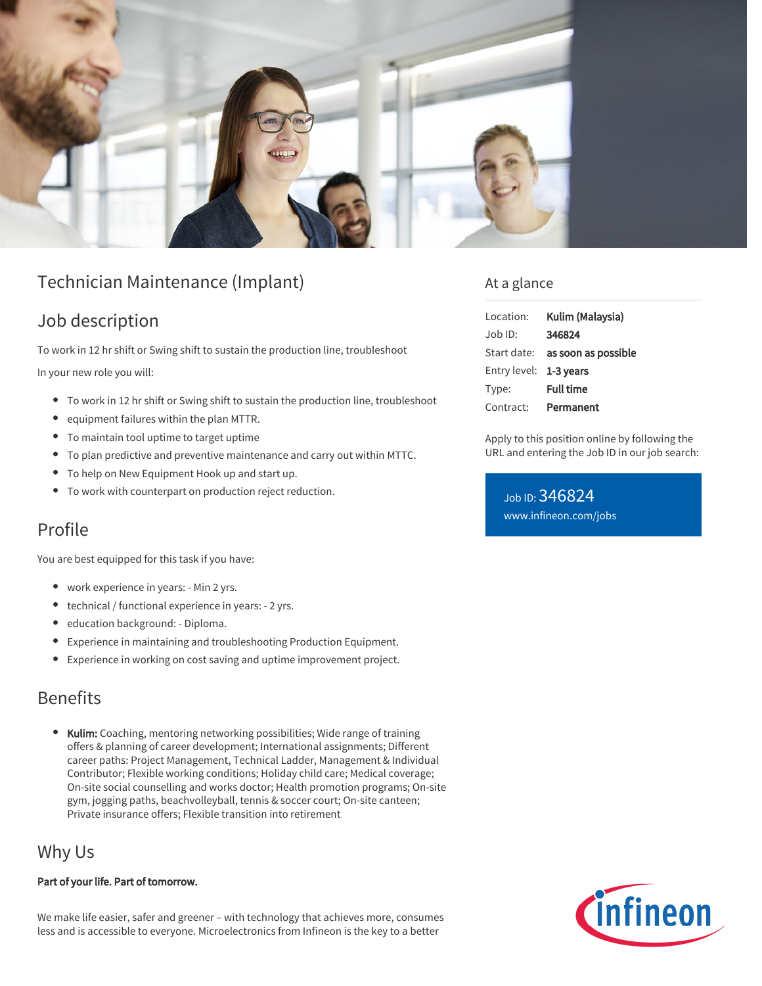

# Technician Maintenance (Implant)

### Job description

To work in 12 hr shift or Swing shift to sustain the production line, troubleshoot In your new role you will:

- To work in 12 hr shift or Swing shift to sustain the production line, troubleshoot
- equipment failures within the plan MTTR.
- To maintain tool uptime to target uptime
- To plan predictive and preventive maintenance and carry out within MTTC.
- To help on New Equipment Hook up and start up.
- To work with counterpart on production reject reduction.

## Profile

You are best equipped for this task if you have:

- work experience in years: Min 2 yrs.
- technical / functional experience in years: 2 yrs.
- **•** education background: Diploma.
- Experience in maintaining and troubleshooting Production Equipment.
- Experience in working on cost saving and uptime improvement project.

#### Benefits

• Kulim: Coaching, mentoring networking possibilities; Wide range of training offers & planning of career development; International assignments; Different career paths: Project Management, Technical Ladder, Management & Individual Contributor; Flexible working conditions; Holiday child care; Medical coverage; On-site social counselling and works doctor; Health promotion programs; On-site gym, jogging paths, beachvolleyball, tennis & soccer court; On-site canteen; Private insurance offers; Flexible transition into retirement

#### Why Us

#### Part of your life. Part of tomorrow.

We make life easier, safer and greener – with technology that achieves more, consumes less and is accessible to everyone. Microelectronics from Infineon is the key to a better

#### At a glance

| Location:              | Kulim (Malaysia)                       |
|------------------------|----------------------------------------|
| Job ID:                | 346824                                 |
|                        | Start date: <b>as soon as possible</b> |
| Entry level: 1-3 years |                                        |
| Type:                  | <b>Full time</b>                       |
| Contract:              | Permanent                              |

Apply to this position online by following the URL and entering the Job ID in our job search:

Job ID: 346824 [www.infineon.com/jobs](https://www.infineon.com/jobs)